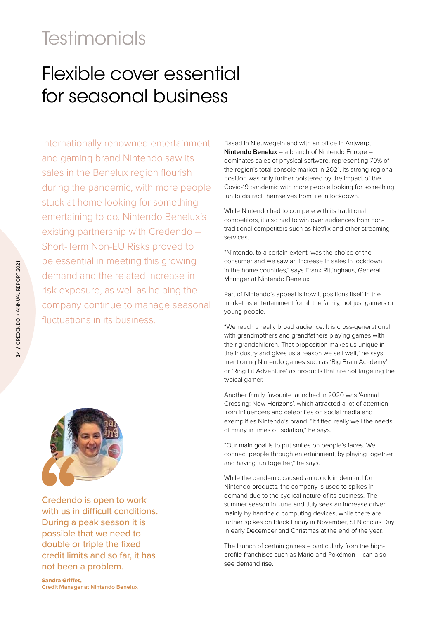## **Testimonials**

## Flexible cover essential for seasonal business

Internationally renowned entertainment and gaming brand Nintendo saw its sales in the Benelux region flourish during the pandemic, with more people stuck at home looking for something entertaining to do. Nintendo Benelux's existing partnership with Credendo – Short-Term Non-EU Risks proved to be essential in meeting this growing demand and the related increase in risk exposure, as well as helping the company continue to manage seasonal fluctuations in its business.



Credendo is open to work with us in difficult conditions. During a peak season it is possible that we need to double or triple the fixed credit limits and so far, it has not been a problem.

Based in Nieuwegein and with an office in Antwerp, **Nintendo Benelux** – a branch of Nintendo Europe – dominates sales of physical software, representing 70% of the region's total console market in 2021. Its strong regional position was only further bolstered by the impact of the Covid-19 pandemic with more people looking for something fun to distract themselves from life in lockdown.

While Nintendo had to compete with its traditional competitors, it also had to win over audiences from nontraditional competitors such as Netflix and other streaming services.

"Nintendo, to a certain extent, was the choice of the consumer and we saw an increase in sales in lockdown in the home countries," says Frank Rittinghaus, General Manager at Nintendo Benelux.

Part of Nintendo's appeal is how it positions itself in the market as entertainment for all the family, not just gamers or young people.

"We reach a really broad audience. It is cross-generational with grandmothers and grandfathers playing games with their grandchildren. That proposition makes us unique in the industry and gives us a reason we sell well," he says, mentioning Nintendo games such as 'Big Brain Academy' or 'Ring Fit Adventure' as products that are not targeting the typical gamer.

Another family favourite launched in 2020 was 'Animal Crossing: New Horizons', which attracted a lot of attention from influencers and celebrities on social media and exemplifies Nintendo's brand. "It fitted really well the needs of many in times of isolation," he says.

"Our main goal is to put smiles on people's faces. We connect people through entertainment, by playing together and having fun together," he says.

While the pandemic caused an uptick in demand for Nintendo products, the company is used to spikes in demand due to the cyclical nature of its business. The summer season in June and July sees an increase driven mainly by handheld computing devices, while there are further spikes on Black Friday in November, St Nicholas Day in early December and Christmas at the end of the year.

The launch of certain games – particularly from the highprofile franchises such as Mario and Pokémon – can also see demand rise.